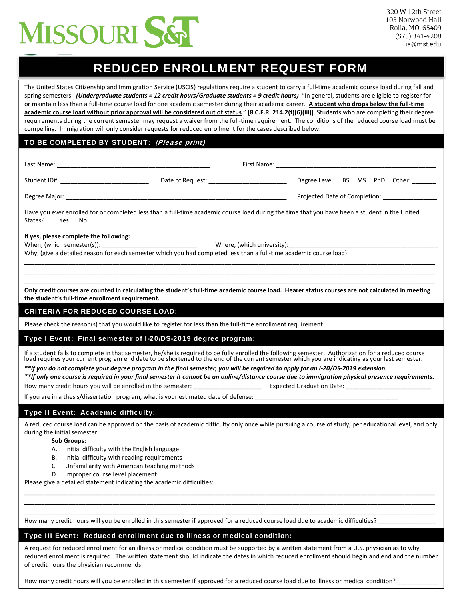

# REDUCED ENROLLMENT REQUEST FORM

The United States Citizenship and Immigration Service (USCIS) regulations require a student to carry a full‐time academic course load during fall and spring semesters. (Undergraduate students = 12 credit hours/Graduate students = 9 credit hours) "In general, students are eligible to register for or maintain less than a full‐time course load for one academic semester during their academic career. **A student who drops below the full‐time** academic course load without prior approval will be considered out of status." [8 C.F.R. 214.2(f)(6)(iii)] Students who are completing their degree requirements during the current semester may request a waiver from the full-time requirement. The conditions of the reduced course load must be compelling. Immigration will only consider requests for reduced enrollment for the cases described below.

# TO BE COMPLETED BY STUDENT: (Please print)

| Last Name:    |                  | First Name:                   |                                |  |  |  |  |
|---------------|------------------|-------------------------------|--------------------------------|--|--|--|--|
| Student ID#:  | Date of Request: |                               | Degree Level: BS MS PhD Other: |  |  |  |  |
| Degree Major: |                  | Projected Date of Completion: |                                |  |  |  |  |

Have you ever enrolled for or completed less than a full‐time academic course load during the time that you have been a student in the United States? Yes No

#### **If yes, please complete the following:**

When, (which semester(s)): \_\_\_\_\_\_\_\_\_\_\_\_\_\_\_\_\_\_\_\_\_\_\_\_\_\_\_\_ Where, (which university):\_\_\_\_\_\_\_\_\_\_\_\_\_\_\_\_\_\_\_\_\_\_\_\_\_\_\_\_\_\_\_\_\_\_\_\_\_\_\_\_\_\_\_\_

Why, (give a detailed reason for each semester which you had completed less than a full-time academic course load):

\_\_\_\_\_\_\_\_\_\_\_\_\_\_\_\_\_\_\_\_\_\_\_\_\_\_\_\_\_\_\_\_\_\_\_\_\_\_\_\_\_\_\_\_\_\_\_\_\_\_\_\_\_\_\_\_\_\_\_\_\_\_\_\_\_\_\_\_\_\_\_\_\_\_\_\_\_\_\_\_\_\_\_\_\_\_\_\_\_\_\_\_\_\_\_\_\_\_\_\_\_\_\_\_\_\_\_\_\_\_\_\_\_\_\_\_\_\_\_\_\_ Only credit courses are counted in calculating the student's full-time academic course load. Hearer status courses are not calculated in meeting **the student's full‐time enrollment requirement.**

\_\_\_\_\_\_\_\_\_\_\_\_\_\_\_\_\_\_\_\_\_\_\_\_\_\_\_\_\_\_\_\_\_\_\_\_\_\_\_\_\_\_\_\_\_\_\_\_\_\_\_\_\_\_\_\_\_\_\_\_\_\_\_\_\_\_\_\_\_\_\_\_\_\_\_\_\_\_\_\_\_\_\_\_\_\_\_\_\_\_\_\_\_\_\_\_\_\_\_\_\_\_\_\_\_\_\_\_\_\_\_\_\_\_\_\_\_\_\_\_\_ \_\_\_\_\_\_\_\_\_\_\_\_\_\_\_\_\_\_\_\_\_\_\_\_\_\_\_\_\_\_\_\_\_\_\_\_\_\_\_\_\_\_\_\_\_\_\_\_\_\_\_\_\_\_\_\_\_\_\_\_\_\_\_\_\_\_\_\_\_\_\_\_\_\_\_\_\_\_\_\_\_\_\_\_\_\_\_\_\_\_\_\_\_\_\_\_\_\_\_\_\_\_\_\_\_\_\_\_\_\_\_\_\_\_\_\_\_\_\_\_\_

# CRITERIA FOR REDUCED COURSE LOAD:

Please check the reason(s) that you would like to register for less than the full‐time enrollment requirement:

#### Type I Event: Final semester of I-20/DS-2019 degree program:

If a student fails to complete in that semester, he/she is required to be fully enrolled the following semester. Authorization for a reduced course<br>load requires your current program end date to be shortened to the end of

*\*\*If you do not complete your degree program in the final semester, you will be required to apply for an I-20/DS-2019 extension.*

*\*\*If only one course is required in your final semester it cannot be an online/distance course due to immigration physical presence requirements.* How many credit hours you will be enrolled in this semester: entity and the second serve expected Graduation Date:

If you are in a thesis/dissertation program, what is your estimated date of defense:

#### Type II Event: Academic difficulty:

A reduced course load can be approved on the basis of academic difficulty only once while pursuing a course of study, per educational level, and only during the initial semester.

\_\_\_\_\_\_\_\_\_\_\_\_\_\_\_\_\_\_\_\_\_\_\_\_\_\_\_\_\_\_\_\_\_\_\_\_\_\_\_\_\_\_\_\_\_\_\_\_\_\_\_\_\_\_\_\_\_\_\_\_\_\_\_\_\_\_\_\_\_\_\_\_\_\_\_\_\_\_\_\_\_\_\_\_\_\_\_\_\_\_\_\_\_\_\_\_\_\_\_\_\_\_\_\_\_\_\_\_\_\_\_\_\_\_\_\_\_\_\_\_\_ \_\_\_\_\_\_\_\_\_\_\_\_\_\_\_\_\_\_\_\_\_\_\_\_\_\_\_\_\_\_\_\_\_\_\_\_\_\_\_\_\_\_\_\_\_\_\_\_\_\_\_\_\_\_\_\_\_\_\_\_\_\_\_\_\_\_\_\_\_\_\_\_\_\_\_\_\_\_\_\_\_\_\_\_\_\_\_\_\_\_\_\_\_\_\_\_\_\_\_\_\_\_\_\_\_\_\_\_\_\_\_\_\_\_\_\_\_\_\_\_\_ \_\_\_\_\_\_\_\_\_\_\_\_\_\_\_\_\_\_\_\_\_\_\_\_\_\_\_\_\_\_\_\_\_\_\_\_\_\_\_\_\_\_\_\_\_\_\_\_\_\_\_\_\_\_\_\_\_\_\_\_\_\_\_\_\_\_\_\_\_\_\_\_\_\_\_\_\_\_\_\_\_\_\_\_\_\_\_\_\_\_\_\_\_\_\_\_\_\_\_\_\_\_\_\_\_\_\_\_\_\_\_\_\_\_\_\_\_\_\_\_\_

#### **Sub Groups:**

- A. Initial difficulty with the English language
- B. Initial difficulty with reading requirements
- C. Unfamiliarity with American teaching methods
- D. Improper course level placement

Please give a detailed statement indicating the academic difficulties:

How many credit hours will you be enrolled in this semester if approved for a reduced course load due to academic difficulties?

# Type III Event: Reduced enrollment due to illness or medical condition:

A request for reduced enrollment for an illness or medical condition must be supported by a written statement from a U.S. physician as to why reduced enrollment is required. The written statement should indicate the dates in which reduced enrollment should begin and end and the number of credit hours the physician recommends.

How many credit hours will you be enrolled in this semester if approved for a reduced course load due to illness or medical condition?